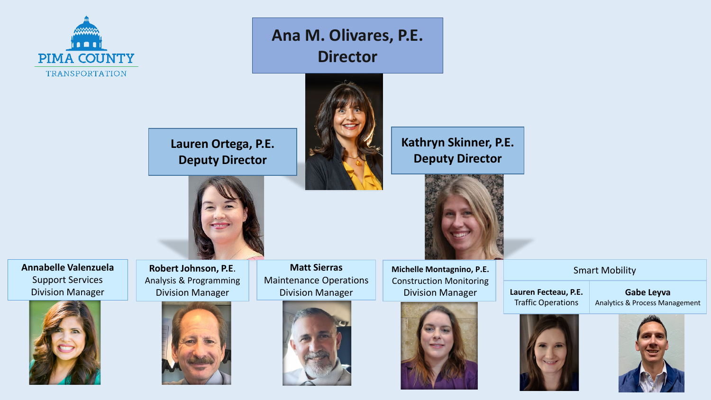

**Ana M. Olivares, P.E. Director**



**Kathryn Skinner, P.E. Deputy Director**





**Annabelle Valenzuela** Support Services Division Manager



**Robert Johnson, P.E**. Analysis & Programming Division Manager



**Matt Sierras** Maintenance Operations Division Manager







Smart Mobility

**Gabe Leyva** Analytics & Process Management



**Lauren Fecteau, P.E.** Traffic Operations